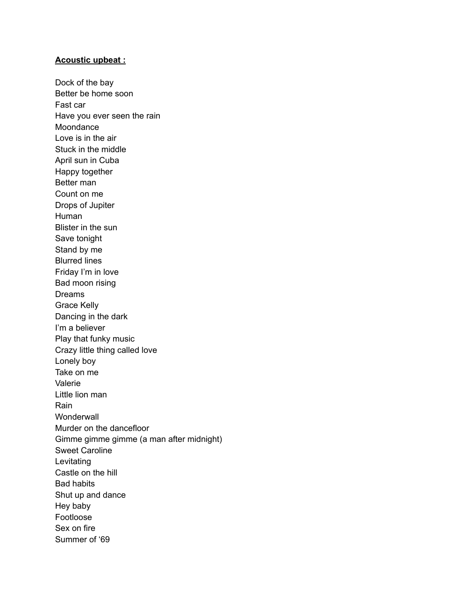## **Acoustic upbeat :**

Dock of the bay Better be home soon Fast car Have you ever seen the rain Moondance Love is in the air Stuck in the middle April sun in Cuba Happy together Better man Count on me Drops of Jupiter Human Blister in the sun Save tonight Stand by me Blurred lines Friday I'm in love Bad moon rising Dreams Grace Kelly Dancing in the dark I'm a believer Play that funky music Crazy little thing called love Lonely boy Take on me Valerie Little lion man Rain **Wonderwall** Murder on the dancefloor Gimme gimme gimme (a man after midnight) Sweet Caroline Levitating Castle on the hill Bad habits Shut up and dance Hey baby Footloose Sex on fire Summer of '69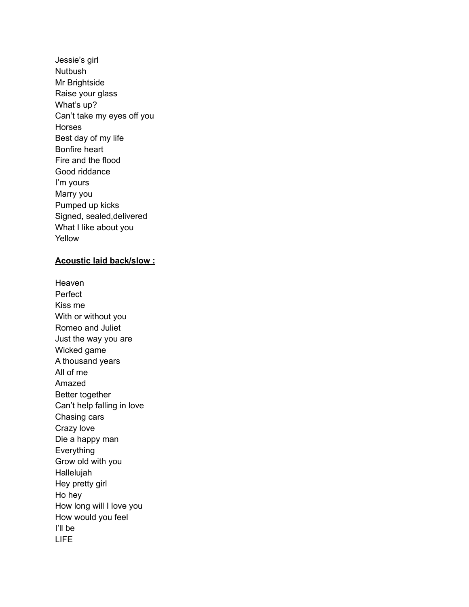Jessie's girl Nutbush Mr Brightside Raise your glass What's up? Can't take my eyes off you Horses Best day of my life Bonfire heart Fire and the flood Good riddance I'm yours Marry you Pumped up kicks Signed, sealed,delivered What I like about you Yellow

## **Acoustic laid back/slow :**

Heaven Perfect Kiss me With or without you Romeo and Juliet Just the way you are Wicked game A thousand years All of me Amazed Better together Can't help falling in love Chasing cars Crazy love Die a happy man Everything Grow old with you Hallelujah Hey pretty girl Ho hey How long will I love you How would you feel I'll be LIFE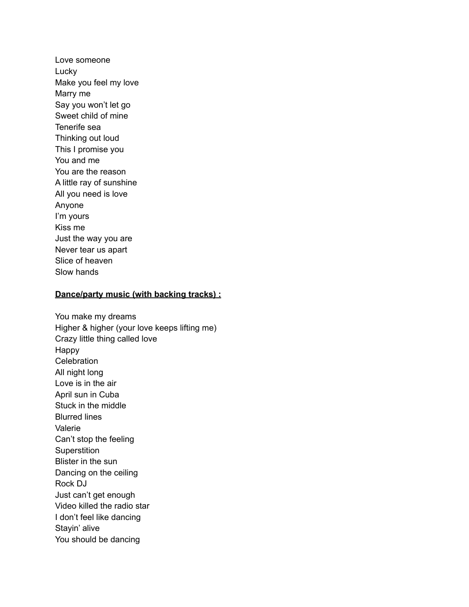Love someone Lucky Make you feel my love Marry me Say you won't let go Sweet child of mine Tenerife sea Thinking out loud This I promise you You and me You are the reason A little ray of sunshine All you need is love Anyone I'm yours Kiss me Just the way you are Never tear us apart Slice of heaven Slow hands

## **Dance/party music (with backing tracks) :**

You make my dreams Higher & higher (your love keeps lifting me) Crazy little thing called love Happy **Celebration** All night long Love is in the air April sun in Cuba Stuck in the middle Blurred lines Valerie Can't stop the feeling **Superstition** Blister in the sun Dancing on the ceiling Rock DJ Just can't get enough Video killed the radio star I don't feel like dancing Stayin' alive You should be dancing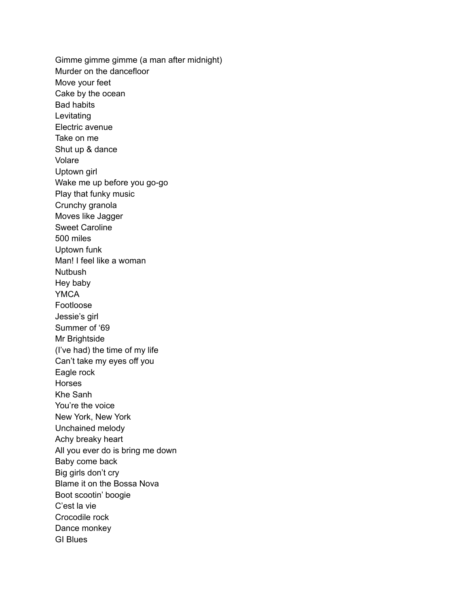Gimme gimme gimme (a man after midnight) Murder on the dancefloor Move your feet Cake by the ocean Bad habits Levitating Electric avenue Take on me Shut up & dance Volare Uptown girl Wake me up before you go-go Play that funky music Crunchy granola Moves like Jagger Sweet Caroline 500 miles Uptown funk Man! I feel like a woman Nutbush Hey baby YMCA Footloose Jessie's girl Summer of '69 Mr Brightside (I've had) the time of my life Can't take my eyes off you Eagle rock **Horses** Khe Sanh You're the voice New York, New York Unchained melody Achy breaky heart All you ever do is bring me down Baby come back Big girls don't cry Blame it on the Bossa Nova Boot scootin' boogie C'est la vie Crocodile rock Dance monkey GI Blues